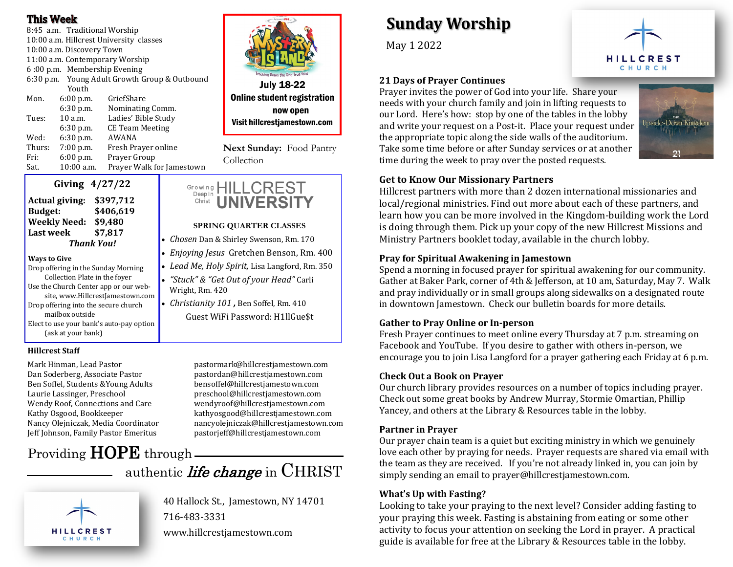#### **This Week**

8:45 a.m. Traditional Worship 10:00 a.m. Hillcrest University classes 10:00 a.m. Discovery Town 11:00 a.m. Contemporary Worship 6 :00 p.m. Membership Evening 6:30 p.m. Young Adult Growth Group & Outbound Youth Mon. 6:00 p.m. GriefShare 6:30 p.m. Nominating Comm. Tues: 10 a.m. Ladies' Bible Study 6:30 p.m. CE Team Meeting Wed: 6:30 p.m. AWANA Thurs: 7:00 p.m. Fresh Prayer online Fri: 6:00 p.m. Prayer Group Sat. 10:00 a.m. Prayer Walk for Jamestown



Online student registration now open Visit hillcrestjamestown.com

**Next Sunday:** Food Pantry Collection

**SPRING QUARTER CLASSES** • *Chosen* Dan & Shirley Swenson, Rm. 170 • *Enjoying Jesus* Gretchen Benson, Rm. 400 • *Lead Me, Holy Spirit,* Lisa Langford, Rm. 350 • *"Stuck" & "Get Out of your Head"* Carli

**UNIVERSIT** 

Growing HILLCREST

• *Christianity 101 ,* Ben Soffel, Rm. 410

Guest WiFi Password: H1llGue\$t

Wright, Rm. 420

Deepln

Christ



| <b>Actual giving:</b> | \$397,712 |
|-----------------------|-----------|
| <b>Budget:</b>        | \$406,619 |
| <b>Weekly Need:</b>   | \$9,480   |
| <b>Last week</b>      | \$7,817   |
| <b>Thank You!</b>     |           |

#### **Ways to Give**

Drop offering in the Sunday Morning Collection Plate in the foyer Use the Church Center app or our website, www.HillcrestJamestown.com Drop offering into the secure church mailbox outside Elect to use your bank's auto-pay option (ask at your bank)

#### **Hillcrest Staff**

Mark Hinman, Lead Pastor pastormark@hillcrestjamestown.com Ben Soffel, Students &Young Adults bensoffel@hillcrestjamestown.com

Dan Soderberg, Associate Pastor pastordan@hillcrestjamestown.com Laurie Lassinger, Preschool breschool@hillcrestjamestown.com Wendy Roof, Connections and Care wendyroof@hillcrestjamestown.com Kathy Osgood, Bookkeeper kathyosgood@hillcrestjamestown.com Nancy Olejniczak, Media Coordinator nancyolejniczak@hillcrestjamestown.com Jeff Johnson, Family Pastor Emeritus pastorjeff@hillcrestjamestown.com

# Providing **HOPE** through.

### authentic *life change* in CHRIST

40 Hallock St., Jamestown, NY 14701 716-483-3331 www.hillcrestjamestown.com

## **Sunday Worship**

May 1 2022



#### **21 Days of Prayer Continues**

Prayer invites the power of God into your life. Share your needs with your church family and join in lifting requests to our Lord. Here's how: stop by one of the tables in the lobby and write your request on a Post-it. Place your request under the appropriate topic along the side walls of the auditorium. Take some time before or after Sunday services or at another time during the week to pray over the posted requests.



#### **Get to Know Our Missionary Partners**

Hillcrest partners with more than 2 dozen international missionaries and local/regional ministries. Find out more about each of these partners, and learn how you can be more involved in the Kingdom-building work the Lord is doing through them. Pick up your copy of the new Hillcrest Missions and Ministry Partners booklet today, available in the church lobby.

#### **Pray for Spiritual Awakening in Jamestown**

Spend a morning in focused prayer for spiritual awakening for our community. Gather at Baker Park, corner of 4th & Jefferson, at 10 am, Saturday, May 7. Walk and pray individually or in small groups along sidewalks on a designated route in downtown Jamestown. Check our bulletin boards for more details.

#### **Gather to Pray Online or In-person**

Fresh Prayer continues to meet online every Thursday at 7 p.m. streaming on Facebook and YouTube. If you desire to gather with others in-person, we encourage you to join Lisa Langford for a prayer gathering each Friday at 6 p.m.

#### **Check Out a Book on Prayer**

Our church library provides resources on a number of topics including prayer. Check out some great books by Andrew Murray, Stormie Omartian, Phillip Yancey, and others at the Library & Resources table in the lobby.

#### **Partner in Prayer**

Our prayer chain team is a quiet but exciting ministry in which we genuinely love each other by praying for needs. Prayer requests are shared via email with the team as they are received. If you're not already linked in, you can join by simply sending an email to prayer@hillcrestjamestown.com.

#### **What's Up with Fasting?**

Looking to take your praying to the next level? Consider adding fasting to your praying this week. Fasting is abstaining from eating or some other activity to focus your attention on seeking the Lord in prayer. A practical guide is available for free at the Library & Resources table in the lobby.